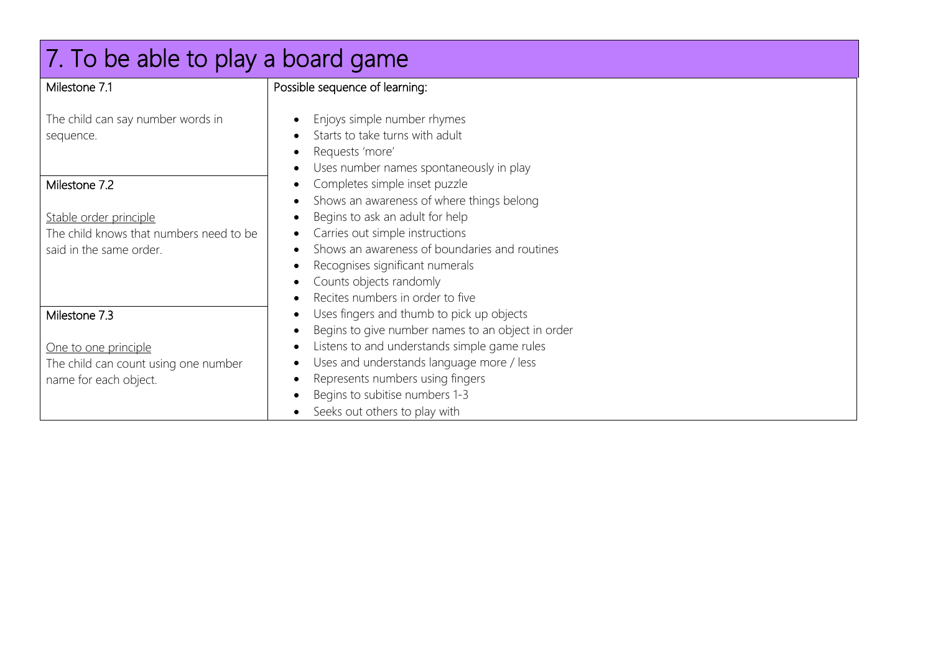| 7. To be able to play a board game                                                           |                                                                                                                                                                                                                                                                                        |  |
|----------------------------------------------------------------------------------------------|----------------------------------------------------------------------------------------------------------------------------------------------------------------------------------------------------------------------------------------------------------------------------------------|--|
| Milestone 7.1                                                                                | Possible sequence of learning:                                                                                                                                                                                                                                                         |  |
| The child can say number words in<br>sequence.                                               | Enjoys simple number rhymes<br>$\bullet$<br>Starts to take turns with adult<br>$\bullet$<br>Requests 'more'<br>$\bullet$<br>Uses number names spontaneously in play                                                                                                                    |  |
| Milestone 7.2                                                                                | Completes simple inset puzzle<br>$\bullet$<br>Shows an awareness of where things belong<br>$\bullet$                                                                                                                                                                                   |  |
| Stable order principle<br>The child knows that numbers need to be<br>said in the same order. | Begins to ask an adult for help<br>$\bullet$<br>Carries out simple instructions<br>$\bullet$<br>Shows an awareness of boundaries and routines<br>$\bullet$<br>Recognises significant numerals<br>$\bullet$<br>Counts objects randomly<br>$\bullet$<br>Recites numbers in order to five |  |
| Milestone 7.3                                                                                | $\bullet$<br>Uses fingers and thumb to pick up objects<br>$\bullet$<br>Begins to give number names to an object in order<br>$\bullet$                                                                                                                                                  |  |
| One to one principle<br>The child can count using one number<br>name for each object.        | Listens to and understands simple game rules<br>$\bullet$<br>Uses and understands language more / less<br>Represents numbers using fingers<br>$\bullet$<br>Begins to subitise numbers 1-3<br>$\bullet$<br>Seeks out others to play with                                                |  |